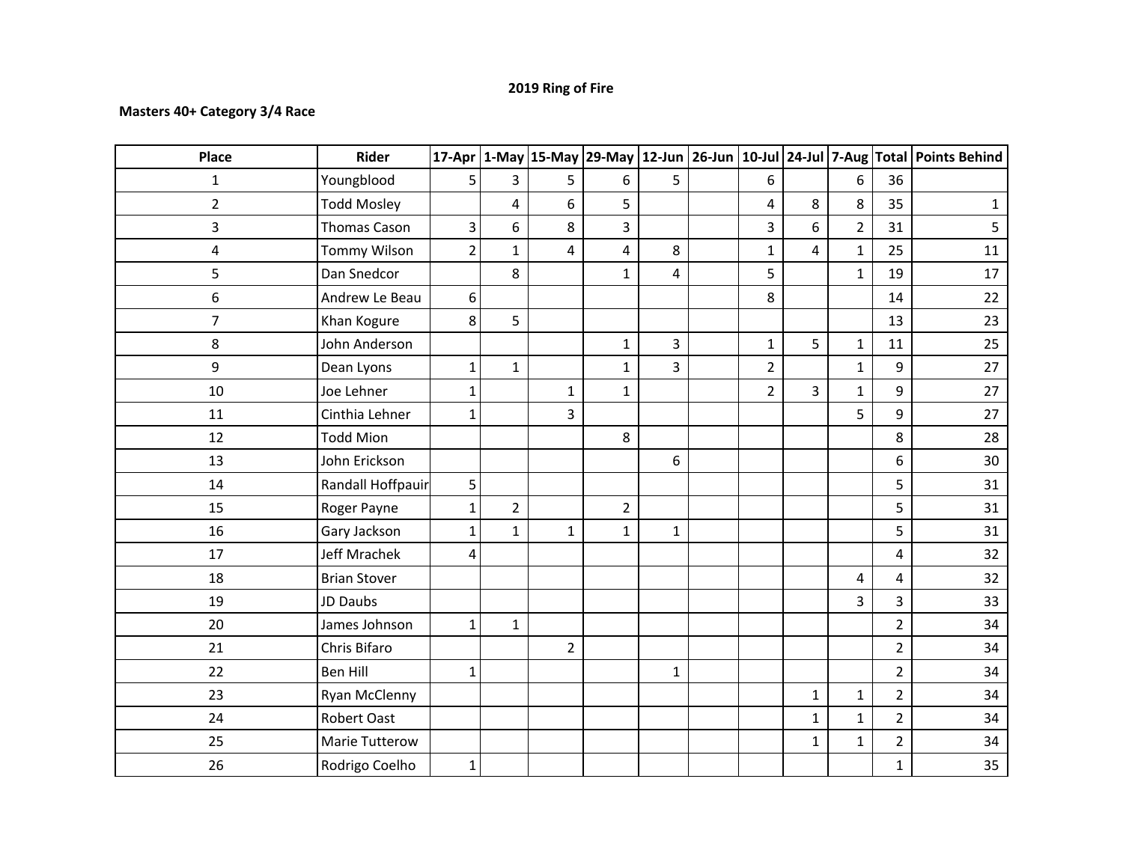## **2019 Ring of Fire**

## **Masters 40+ Category 3/4 Race**

| Place          | <b>Rider</b>        |                |                |                |                |                |                |              |                |                | 17-Apr $\vert$ 1-May 15-May 29-May 12-Jun 26-Jun 10-Jul 24-Jul 7-Aug Total Points Behind |
|----------------|---------------------|----------------|----------------|----------------|----------------|----------------|----------------|--------------|----------------|----------------|------------------------------------------------------------------------------------------|
| $\mathbf{1}$   | Youngblood          | 5              | 3              | 5 <sup>1</sup> | 6              | $5\phantom{.}$ | 6              |              | 6              | 36             |                                                                                          |
| $\overline{2}$ | <b>Todd Mosley</b>  |                | 4              | 6              | 5              |                | 4              | 8            | 8              | 35             | $\mathbf{1}$                                                                             |
| 3              | <b>Thomas Cason</b> | 3              | 6              | 8              | 3              |                | 3              | 6            | $\overline{2}$ | 31             | 5                                                                                        |
| 4              | Tommy Wilson        | $\overline{2}$ | $\mathbf{1}$   | $\overline{4}$ | 4              | 8              | $\mathbf 1$    | 4            | $\mathbf{1}$   | 25             | 11                                                                                       |
| 5              | Dan Snedcor         |                | 8              |                | $\mathbf{1}$   | 4              | 5              |              | $\mathbf{1}$   | 19             | 17                                                                                       |
| 6              | Andrew Le Beau      | 6              |                |                |                |                | 8              |              |                | 14             | 22                                                                                       |
| $\overline{7}$ | Khan Kogure         | 8              | 5              |                |                |                |                |              |                | 13             | 23                                                                                       |
| 8              | John Anderson       |                |                |                | $\mathbf{1}$   | $\overline{3}$ | $\mathbf{1}$   | 5            | $\mathbf{1}$   | 11             | 25                                                                                       |
| 9              | Dean Lyons          | 1              | $\mathbf{1}$   |                | $\mathbf{1}$   | $\overline{3}$ | $\overline{2}$ |              | $\mathbf{1}$   | 9              | 27                                                                                       |
| 10             | Joe Lehner          | 1              |                | $\mathbf{1}$   | $\mathbf{1}$   |                | $\overline{2}$ | 3            | $\mathbf{1}$   | 9              | 27                                                                                       |
| 11             | Cinthia Lehner      | $\mathbf{1}$   |                | $\overline{3}$ |                |                |                |              | 5              | 9              | 27                                                                                       |
| 12             | <b>Todd Mion</b>    |                |                |                | 8              |                |                |              |                | 8              | 28                                                                                       |
| 13             | John Erickson       |                |                |                |                | 6              |                |              |                | 6              | 30                                                                                       |
| 14             | Randall Hoffpauir   | 5              |                |                |                |                |                |              |                | 5              | 31                                                                                       |
| 15             | Roger Payne         | 1              | $\overline{2}$ |                | $\overline{2}$ |                |                |              |                | 5              | 31                                                                                       |
| 16             | Gary Jackson        | 1              | $\mathbf{1}$   | $\mathbf{1}$   | $\mathbf{1}$   | $\mathbf{1}$   |                |              |                | 5              | 31                                                                                       |
| 17             | Jeff Mrachek        | 4              |                |                |                |                |                |              |                | $\overline{4}$ | 32                                                                                       |
| 18             | <b>Brian Stover</b> |                |                |                |                |                |                |              | 4              | 4              | 32                                                                                       |
| 19             | JD Daubs            |                |                |                |                |                |                |              | $\overline{3}$ | 3              | 33                                                                                       |
| 20             | James Johnson       | $\mathbf{1}$   | $\mathbf{1}$   |                |                |                |                |              |                | $\overline{2}$ | 34                                                                                       |
| 21             | Chris Bifaro        |                |                | $2^{\circ}$    |                |                |                |              |                | $\overline{2}$ | 34                                                                                       |
| 22             | <b>Ben Hill</b>     | $\mathbf{1}$   |                |                |                | $\mathbf{1}$   |                |              |                | $\overline{2}$ | 34                                                                                       |
| 23             | Ryan McClenny       |                |                |                |                |                |                | $\mathbf{1}$ | $\mathbf{1}$   | $\overline{2}$ | 34                                                                                       |
| 24             | <b>Robert Oast</b>  |                |                |                |                |                |                | $\mathbf{1}$ | $\mathbf 1$    | $\overline{2}$ | 34                                                                                       |
| 25             | Marie Tutterow      |                |                |                |                |                |                | $\mathbf{1}$ | $\mathbf{1}$   | $\overline{2}$ | 34                                                                                       |
| 26             | Rodrigo Coelho      | $\mathbf{1}$   |                |                |                |                |                |              |                | $\mathbf{1}$   | 35                                                                                       |